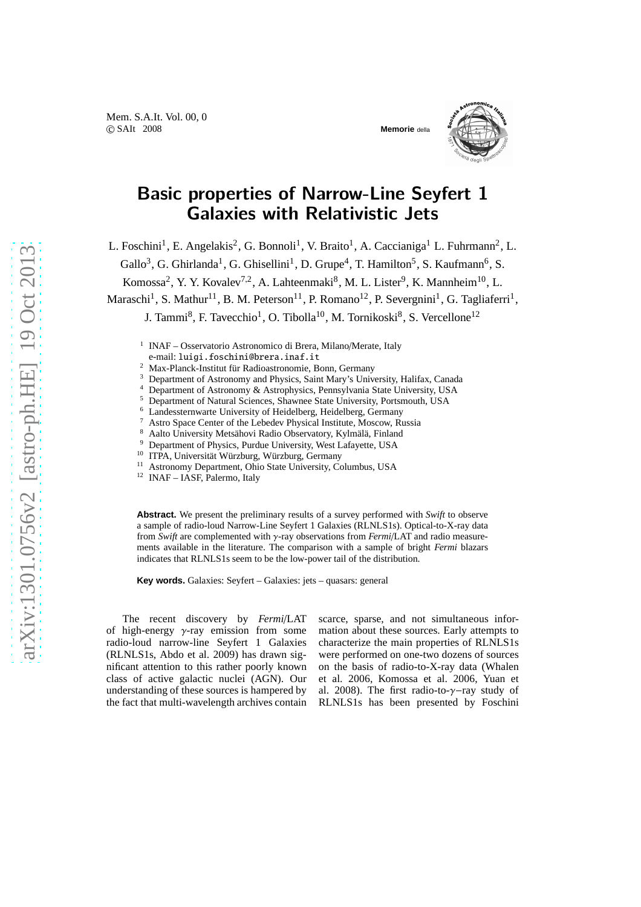

## Basic properties of Narrow-Line Seyfert 1 Galaxies with Relativistic Jets

L. Foschini<sup>1</sup>, E. Angelakis<sup>2</sup>, G. Bonnoli<sup>1</sup>, V. Braito<sup>1</sup>, A. Caccianiga<sup>1</sup> L. Fuhrmann<sup>2</sup>, L.

Gallo<sup>3</sup>, G. Ghirlanda<sup>1</sup>, G. Ghisellini<sup>1</sup>, D. Grupe<sup>4</sup>, T. Hamilton<sup>5</sup>, S. Kaufmann<sup>6</sup>, S.

Komossa<sup>2</sup>, Y. Y. Kovalev<sup>7,2</sup>, A. Lahteenmaki<sup>8</sup>, M. L. Lister<sup>9</sup>, K. Mannheim<sup>10</sup>, L.

Maraschi<sup>1</sup>, S. Mathur<sup>11</sup>, B. M. Peterson<sup>11</sup>, P. Romano<sup>12</sup>, P. Severgnini<sup>1</sup>, G. Tagliaferri<sup>1</sup>,

J. Tammi<sup>8</sup>, F. Tavecchio<sup>1</sup>, O. Tibolla<sup>10</sup>, M. Tornikoski<sup>8</sup>, S. Vercellone<sup>12</sup>

<sup>1</sup> INAF – Osservatorio Astronomico di Brera, Milano/Merate, Italy

<sup>2</sup> Max-Planck-Institut für Radioastronomie, Bonn, Germany

<sup>3</sup> Department of Astronomy and Physics, Saint Mary's University, Halifax, Canada<br><sup>4</sup> Department of Astronomy & Astrophysics, Departments State University, USA

<sup>4</sup> Department of Astronomy & Astrophysics, Pennsylvania State University, USA<br><sup>5</sup> Department of Natural Sciences, Shaumee State University, Portamenth, USA

- <sup>5</sup> Department of Natural Sciences, Shawnee State University, Portsmouth, USA
	- Landessternwarte University of Heidelberg, Heidelberg, Germany

<sup>7</sup> Astro Space Center of the Lebedev Physical Institute, Moscow, Russia<br> $8$  Astro University Mote Bodio Observatory, Kylmälä, Einland

<sup>8</sup> Aalto University Metsähovi Radio Observatory, Kylmälä, Finland<sup>9</sup> Department of Physics Purchus University, West I afovette, USA

<sup>9</sup> Department of Physics, Purdue University, West Lafayette, USA

<sup>10</sup> ITPA, Universität Würzburg, Würzburg, Germany

<sup>11</sup> Astronomy Department, Ohio State University, Columbus, USA

<sup>12</sup> INAF – IASF, Palermo, Italy

**Abstract.** We present the preliminary results of a survey performed with *Swift* to observe a sample of radio-loud Narrow-Line Seyfert 1 Galaxies (RLNLS1s). Optical-to-X-ray data from *Swift* are complemented with γ-ray observations from *Fermi*/LAT and radio measurements available in the literature. The comparison with a sample of bright *Fermi* blazars indicates that RLNLS1s seem to be the low-power tail of the distribution.

**Key words.** Galaxies: Seyfert – Galaxies: jets – quasars: general

The recent discovery by *Fermi*/LAT of high-energy  $\gamma$ -ray emission from some radio-loud narrow-line Seyfert 1 Galaxies (RLNLS1s, Abdo et al. 2009) has drawn significant attention to this rather poorly known class of active galactic nuclei (AGN). Our understanding of these sources is hampered by the fact that multi-wavelength archives contain scarce, sparse, and not simultaneous information about these sources. Early attempts to characterize the main properties of RLNLS1s were performed on one-two dozens of sources on the basis of radio-to-X-ray data (Whalen et al. 2006, Komossa et al. 2006, Yuan et al. 2008). The first radio-to-γ−ray study of RLNLS1s has been presented by Foschini

e-mail: luigi.foschini@brera.inaf.it